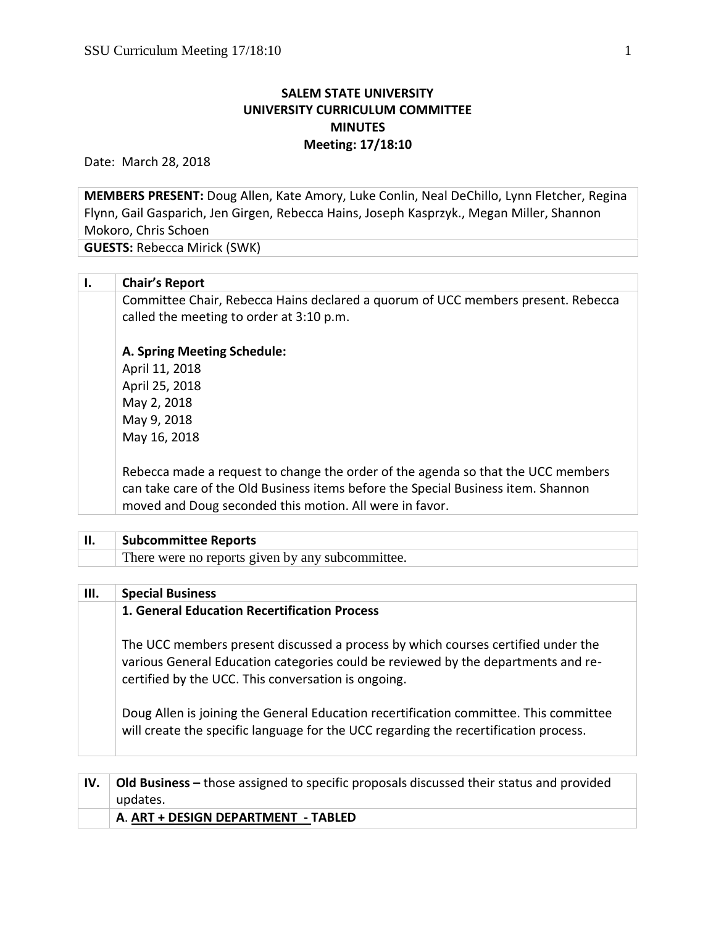## **SALEM STATE UNIVERSITY UNIVERSITY CURRICULUM COMMITTEE MINUTES Meeting: 17/18:10**

Date: March 28, 2018

**MEMBERS PRESENT:** Doug Allen, Kate Amory, Luke Conlin, Neal DeChillo, Lynn Fletcher, Regina Flynn, Gail Gasparich, Jen Girgen, Rebecca Hains, Joseph Kasprzyk., Megan Miller, Shannon Mokoro, Chris Schoen

**GUESTS:** Rebecca Mirick (SWK)

| Ι. | <b>Chair's Report</b>                                                                                                                                                                                                            |
|----|----------------------------------------------------------------------------------------------------------------------------------------------------------------------------------------------------------------------------------|
|    | Committee Chair, Rebecca Hains declared a quorum of UCC members present. Rebecca<br>called the meeting to order at 3:10 p.m.                                                                                                     |
|    | A. Spring Meeting Schedule:                                                                                                                                                                                                      |
|    | April 11, 2018                                                                                                                                                                                                                   |
|    | April 25, 2018                                                                                                                                                                                                                   |
|    | May 2, 2018                                                                                                                                                                                                                      |
|    | May 9, 2018                                                                                                                                                                                                                      |
|    | May 16, 2018                                                                                                                                                                                                                     |
|    | Rebecca made a request to change the order of the agenda so that the UCC members<br>can take care of the Old Business items before the Special Business item. Shannon<br>moved and Doug seconded this motion. All were in favor. |
|    |                                                                                                                                                                                                                                  |
| П. | <b>Subcommittee Reports</b>                                                                                                                                                                                                      |
|    | There were no reports given by any subcommittee.                                                                                                                                                                                 |
| Ш. | <b>Special Business</b>                                                                                                                                                                                                          |

| ,,,, | <b>SPECIAL DUSILIESS</b>                                                                                                                                                                                                     |
|------|------------------------------------------------------------------------------------------------------------------------------------------------------------------------------------------------------------------------------|
|      | 1. General Education Recertification Process                                                                                                                                                                                 |
|      | The UCC members present discussed a process by which courses certified under the<br>various General Education categories could be reviewed by the departments and re-<br>certified by the UCC. This conversation is ongoing. |
|      | Doug Allen is joining the General Education recertification committee. This committee<br>will create the specific language for the UCC regarding the recertification process.                                                |
|      |                                                                                                                                                                                                                              |

| <b>Old Business –</b> those assigned to specific proposals discussed their status and provided |  |  |  |
|------------------------------------------------------------------------------------------------|--|--|--|
| updates.                                                                                       |  |  |  |
| A. ART + DESIGN DEPARTMENT - TABLED                                                            |  |  |  |